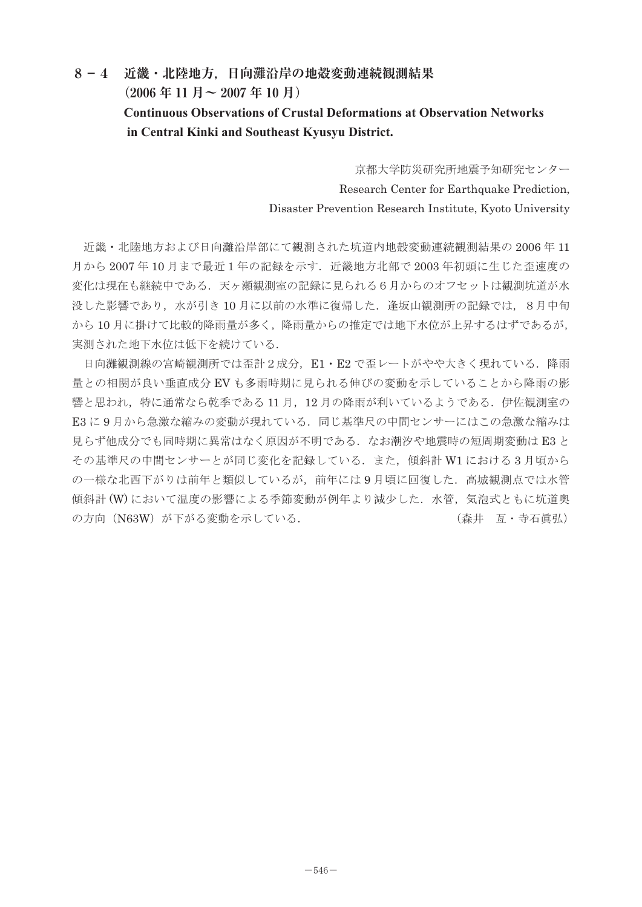## **8-4 近畿・北陸地方,日向灘沿岸の地殻変動連続観測結果 (2006 年 11 月~ 2007 年 10 月) Continuous Observations of Crustal Deformations at Observation Networks in Central Kinki and Southeast Kyusyu District.**

京都大学防災研究所地震予知研究センター Research Center for Earthquake Prediction. Disaster Prevention Research Institute, Kyoto University

 近畿・北陸地方および日向灘沿岸部にて観測された坑道内地殻変動連続観測結果の 2006 年 11 月から 2007 年 10 月まで最近1年の記録を示す.近畿地方北部で 2003 年初頭に生じた歪速度の 変化は現在も継続中である.天ヶ瀬観測室の記録に見られる6月からのオフセットは観測坑道が水 没した影響であり,水が引き 10 月に以前の水準に復帰した.逢坂山観測所の記録では,8月中旬 から10月に掛けて比較的降雨量が多く、降雨量からの推定では地下水位が上昇するはずであるが、 実測された地下水位は低下を続けている.

日向灘観測線の宮崎観測所では歪計2成分, E1·E2 で歪レートがやや大きく現れている. 降雨 量との相関が良い垂直成分 EV も多雨時期に見られる伸びの変動を示していることから降雨の影 響と思われ,特に通常なら乾季である 11 月,12 月の降雨が利いているようである.伊佐観測室の E3 に 9 月から急激な縮みの変動が現れている. 同じ基準尺の中間センサーにはこの急激な縮みは 見らず他成分でも同時期に異常はなく原因が不明である. なお潮汐や地震時の短周期変動は E3 と その基準尺の中間センサーとが同じ変化を記録している.また,傾斜計 W1 における 3 月頃から の一様な北西下がりは前年と類似しているが,前年には 9 月頃に回復した.高城観測点では水管 傾斜計 (W) において温度の影響による季節変動が例年より減少した. 水管, 気泡式ともに坑道奥 の方向(N63W)が下がる変動を示している. (森井 亙 ・ 寺石眞弘)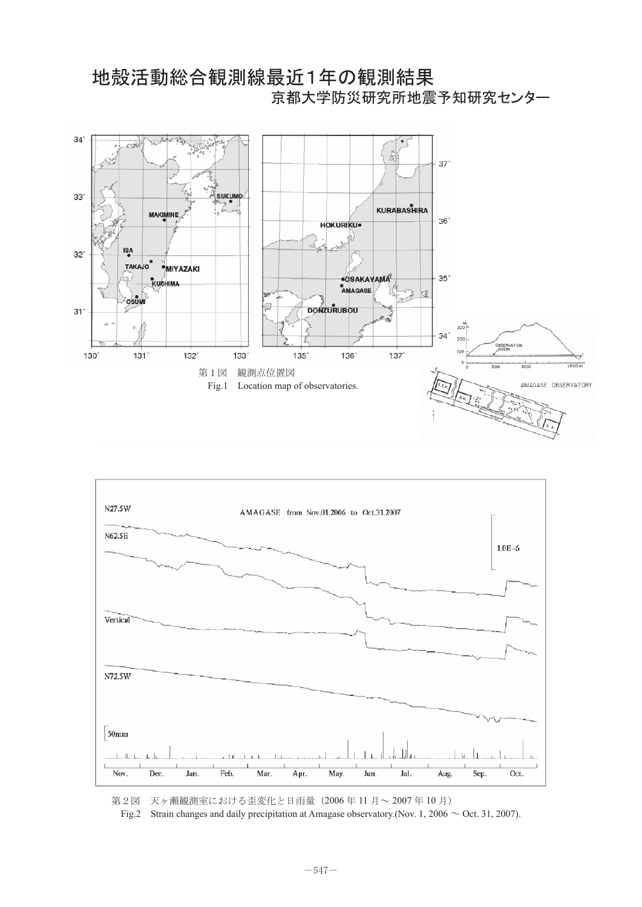

地殻活動総合観測線最近1年の観測結果



第2図 天ヶ瀬観測室における歪変化と日雨量(2006年11月~2007年10月)

Fig.2 Strain changes and daily precipitation at Amagase observatory.(Nov. 1, 2006  $\sim$  Oct. 31, 2007).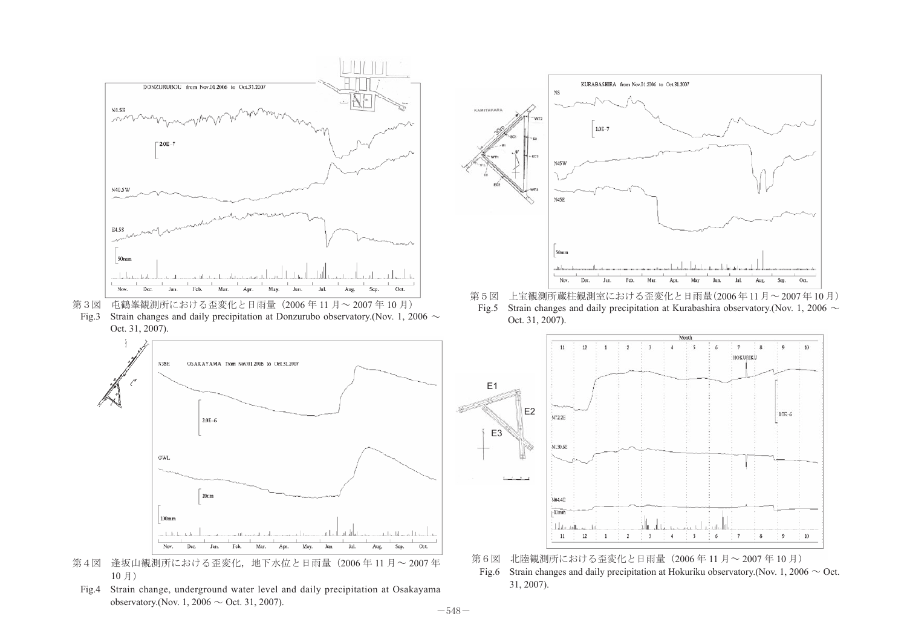

Fig.3 Strain changes and daily precipitation at Donzurubo observatory. (Nov. 1, 2006  $\sim$ Oct. 31, 2007).





Fig.4 Strain change, underground water level and daily precipitation at Osakayama observatory. (Nov. 1, 2006  $\sim$  Oct. 31, 2007).



– ニューニング コンラミング コミック コンラング デジタ ランゴ 第5図 上宝観測所蔵柱観測室における歪変化と日雨量(2006年11月~2007年)<br>第3図 屯鶴峯観測所における歪変化と日雨量(2006 年 11 月~ 2007 年 10 月) Fig.5 Strain changes and daily precipitation at Kurabashira observatory (Nov. 1 第5図 上宝観測所蔵柱観測室における歪変化と日雨量(2006年11月~2007年10月) Fig.5 Strain changes and daily precipitation at Kurabashira observatory.(Nov. 1, 2006  $\sim$  Oct. 31, 2007).



Fig.6 Strain changes and daily precipitation at Hokuriku observatory. (Nov. 1, 2006  $\sim$  Oct. 31, 2007).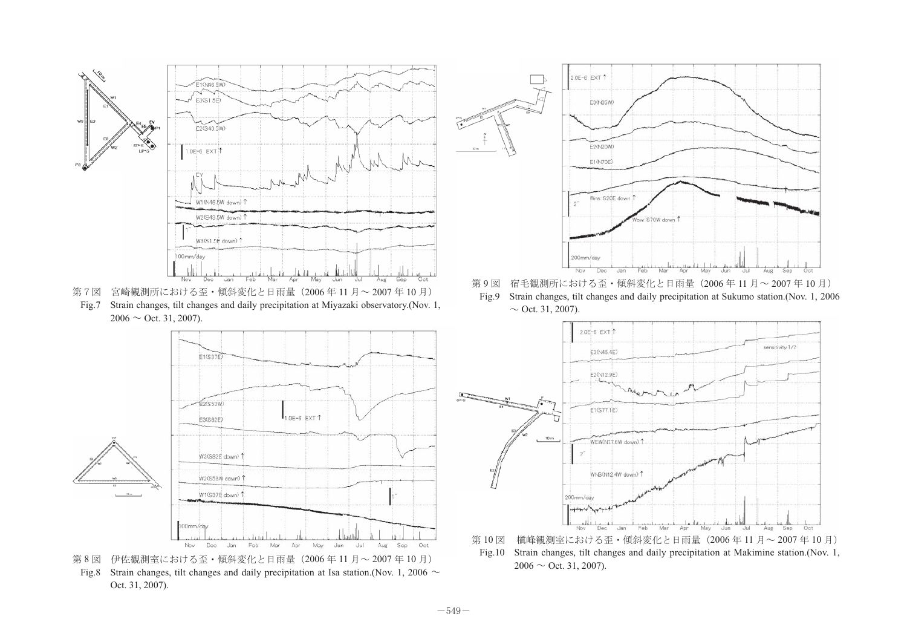

Fig.7 Strain changes, tilt changes and daily precipitation at Miyazaki observatory.(Nov. 1, 第7図 宮崎観測所における歪・傾斜変化と日雨量(2006年11月~2007年10月)  $2006 \sim$  Oct. 31, 2007).







第9図 宿毛観測所における歪・傾斜変化と日雨量(2006年11月~2007年10月) Fig.9 Strain changes, tilt changes and daily precipitation at Sukumo station.(Nov. 1, 2006  $\sim$  Oct. 31, 2007).



╙࿑ ᭱ፄ᷹ⷰቶࠆߌ߅ߦᱡᢳᄌൻߣᣣ㔎㊂㧔ᐕ㨪ᐕ㧕 Fig.10 Strain changes, tilt changes and daily precipitation at Makimine station.(Nov. 1, 第10図 槇峰観測室における歪・傾斜変化と日雨量 (2006年11月~2007年10月)  $2006 \sim$  Oct. 31, 2007).